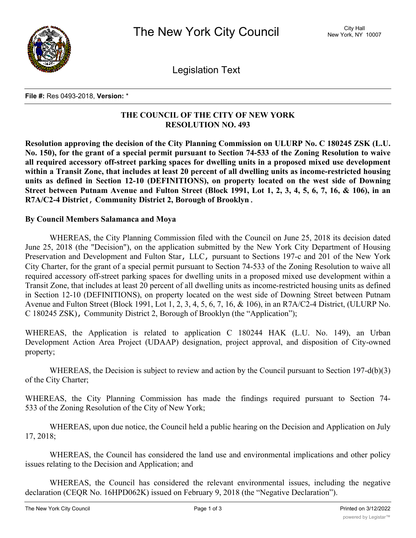

Legislation Text

#### **File #:** Res 0493-2018, **Version:** \*

# **THE COUNCIL OF THE CITY OF NEW YORK RESOLUTION NO. 493**

**Resolution approving the decision of the City Planning Commission on ULURP No. C 180245 ZSK (L.U.** No. 150), for the grant of a special permit pursuant to Section 74-533 of the Zoning Resolution to waive **all required accessory off-street parking spaces for dwelling units in a proposed mixed use development** within a Transit Zone, that includes at least 20 percent of all dwelling units as income-restricted housing **units as defined in Section 12-10 (DEFINITIONS), on property located on the west side of Downing** Street between Putnam Avenue and Fulton Street (Block 1991, Lot 1, 2, 3, 4, 5, 6, 7, 16, & 106), in an **R7A/C2-4 District, Community District 2, Borough of Brooklyn.**

## **By Council Members Salamanca and Moya**

WHEREAS, the City Planning Commission filed with the Council on June 25, 2018 its decision dated June 25, 2018 (the "Decision"), on the application submitted by the New York City Department of Housing Preservation and Development and Fulton Star, LLC, pursuant to Sections 197-c and 201 of the New York City Charter, for the grant of a special permit pursuant to Section 74-533 of the Zoning Resolution to waive all required accessory off-street parking spaces for dwelling units in a proposed mixed use development within a Transit Zone, that includes at least 20 percent of all dwelling units as income-restricted housing units as defined in Section 12-10 (DEFINITIONS), on property located on the west side of Downing Street between Putnam Avenue and Fulton Street (Block 1991, Lot 1, 2, 3, 4, 5, 6, 7, 16, & 106), in an R7A/C2-4 District, (ULURP No. C 180245 ZSK), Community District 2, Borough of Brooklyn (the "Application");

WHEREAS, the Application is related to application C 180244 HAK (L.U. No. 149), an Urban Development Action Area Project (UDAAP) designation, project approval, and disposition of City-owned property;

WHEREAS, the Decision is subject to review and action by the Council pursuant to Section 197-d(b)(3) of the City Charter;

WHEREAS, the City Planning Commission has made the findings required pursuant to Section 74- 533 of the Zoning Resolution of the City of New York;

WHEREAS, upon due notice, the Council held a public hearing on the Decision and Application on July 17, 2018;

WHEREAS, the Council has considered the land use and environmental implications and other policy issues relating to the Decision and Application; and

WHEREAS, the Council has considered the relevant environmental issues, including the negative declaration (CEQR No. 16HPD062K) issued on February 9, 2018 (the "Negative Declaration").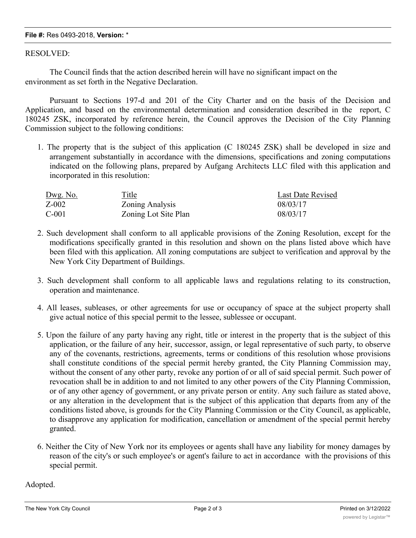### **File #:** Res 0493-2018, **Version:** \*

### RESOLVED:

The Council finds that the action described herein will have no significant impact on the environment as set forth in the Negative Declaration.

Pursuant to Sections 197-d and 201 of the City Charter and on the basis of the Decision and Application, and based on the environmental determination and consideration described in the report, C 180245 ZSK, incorporated by reference herein, the Council approves the Decision of the City Planning Commission subject to the following conditions:

1. The property that is the subject of this application (C 180245 ZSK) shall be developed in size and arrangement substantially in accordance with the dimensions, specifications and zoning computations indicated on the following plans, prepared by Aufgang Architects LLC filed with this application and incorporated in this resolution:

| Dwg. No. | Title                | <b>Last Date Revised</b> |
|----------|----------------------|--------------------------|
| $Z-002$  | Zoning Analysis      | 08/03/17                 |
| $C-001$  | Zoning Lot Site Plan | 08/03/17                 |

- 2. Such development shall conform to all applicable provisions of the Zoning Resolution, except for the modifications specifically granted in this resolution and shown on the plans listed above which have been filed with this application. All zoning computations are subject to verification and approval by the New York City Department of Buildings.
- 3. Such development shall conform to all applicable laws and regulations relating to its construction, operation and maintenance.
- 4. All leases, subleases, or other agreements for use or occupancy of space at the subject property shall give actual notice of this special permit to the lessee, sublessee or occupant.
- 5. Upon the failure of any party having any right, title or interest in the property that is the subject of this application, or the failure of any heir, successor, assign, or legal representative of such party, to observe any of the covenants, restrictions, agreements, terms or conditions of this resolution whose provisions shall constitute conditions of the special permit hereby granted, the City Planning Commission may, without the consent of any other party, revoke any portion of or all of said special permit. Such power of revocation shall be in addition to and not limited to any other powers of the City Planning Commission, or of any other agency of government, or any private person or entity. Any such failure as stated above, or any alteration in the development that is the subject of this application that departs from any of the conditions listed above, is grounds for the City Planning Commission or the City Council, as applicable, to disapprove any application for modification, cancellation or amendment of the special permit hereby granted.
- 6. Neither the City of New York nor its employees or agents shall have any liability for money damages by reason of the city's or such employee's or agent's failure to act in accordance with the provisions of this special permit.

Adopted.